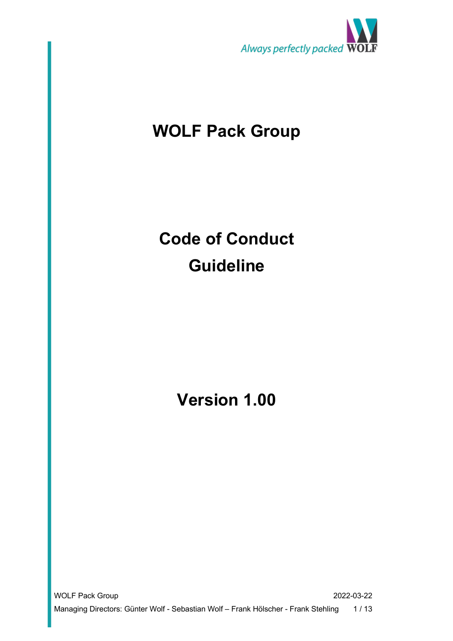

## **WOLF Pack Group**

# **Code of Conduct Guideline**

**Version 1.00**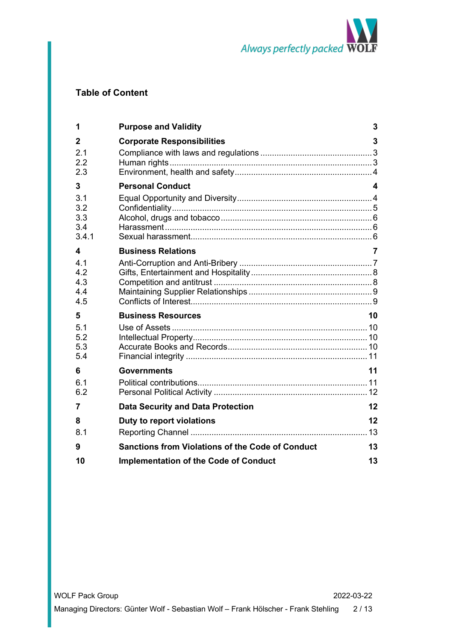

## **Table of Content**

| 1          | <b>Purpose and Validity</b>                             | 3                       |
|------------|---------------------------------------------------------|-------------------------|
| 2          | <b>Corporate Responsibilities</b>                       | 3                       |
| 2.1        |                                                         |                         |
| 2.2<br>2.3 |                                                         |                         |
| 3          | <b>Personal Conduct</b>                                 | $\overline{\mathbf{4}}$ |
| 3.1        |                                                         |                         |
| 3.2        |                                                         |                         |
| 3.3<br>3.4 |                                                         |                         |
| 3.4.1      |                                                         |                         |
| 4          | <b>Business Relations</b>                               | $\overline{7}$          |
| 4.1        |                                                         |                         |
| 4.2        |                                                         |                         |
| 4.3        |                                                         |                         |
| 4.4<br>4.5 |                                                         |                         |
| 5          | <b>Business Resources</b>                               | 10                      |
| 5.1        |                                                         |                         |
| 5.2        |                                                         |                         |
| 5.3        |                                                         |                         |
| 5.4        |                                                         |                         |
| 6          | <b>Governments</b>                                      | 11                      |
| 6.1        |                                                         |                         |
| 6.2        |                                                         |                         |
| 7          | <b>Data Security and Data Protection</b>                | 12                      |
| 8          | Duty to report violations                               | 12                      |
| 8.1        |                                                         | .13                     |
| 9          | <b>Sanctions from Violations of the Code of Conduct</b> | 13                      |
| 10         | <b>Implementation of the Code of Conduct</b>            | 13                      |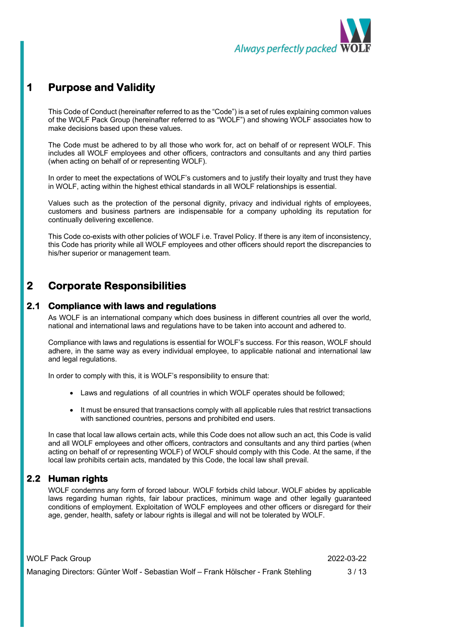

## **1 Purpose and Validity**

This Code of Conduct (hereinafter referred to as the "Code") is a set of rules explaining common values of the WOLF Pack Group (hereinafter referred to as "WOLF") and showing WOLF associates how to make decisions based upon these values.

The Code must be adhered to by all those who work for, act on behalf of or represent WOLF. This includes all WOLF employees and other officers, contractors and consultants and any third parties (when acting on behalf of or representing WOLF).

In order to meet the expectations of WOLF's customers and to justify their loyalty and trust they have in WOLF, acting within the highest ethical standards in all WOLF relationships is essential.

Values such as the protection of the personal dignity, privacy and individual rights of employees, customers and business partners are indispensable for a company upholding its reputation for continually delivering excellence.

This Code co-exists with other policies of WOLF i.e. Travel Policy. If there is any item of inconsistency, this Code has priority while all WOLF employees and other officers should report the discrepancies to his/her superior or management team.

## **2 Corporate Responsibilities**

#### **2.1 Compliance with laws and regulations**

As WOLF is an international company which does business in different countries all over the world, national and international laws and regulations have to be taken into account and adhered to.

Compliance with laws and regulations is essential for WOLF's success. For this reason, WOLF should adhere, in the same way as every individual employee, to applicable national and international law and legal regulations.

In order to comply with this, it is WOLF's responsibility to ensure that:

- Laws and regulations of all countries in which WOLF operates should be followed;
- It must be ensured that transactions comply with all applicable rules that restrict transactions with sanctioned countries, persons and prohibited end users.

In case that local law allows certain acts, while this Code does not allow such an act, this Code is valid and all WOLF employees and other officers, contractors and consultants and any third parties (when acting on behalf of or representing WOLF) of WOLF should comply with this Code. At the same, if the local law prohibits certain acts, mandated by this Code, the local law shall prevail.

#### **2.2 Human rights**

WOLF condemns any form of forced labour. WOLF forbids child labour. WOLF abides by applicable laws regarding human rights, fair labour practices, minimum wage and other legally guaranteed conditions of employment. Exploitation of WOLF employees and other officers or disregard for their age, gender, health, safety or labour rights is illegal and will not be tolerated by WOLF.

WOLF Pack Group 2022-03-22 Managing Directors: Günter Wolf - Sebastian Wolf – Frank Hölscher - Frank Stehling 3 / 13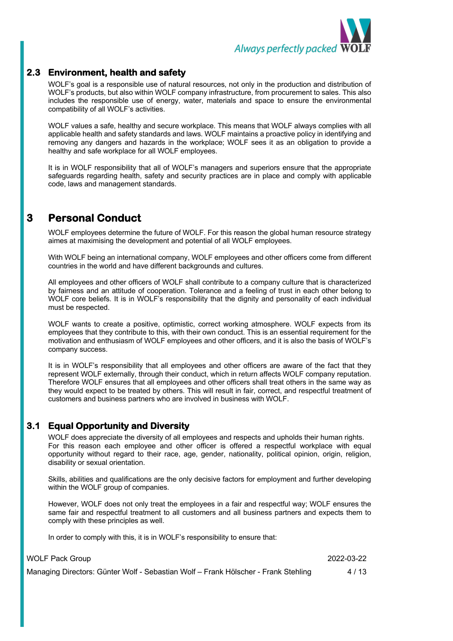

#### **2.3 Environment, health and safety**

WOLF's goal is a responsible use of natural resources, not only in the production and distribution of WOLF's products, but also within WOLF company infrastructure, from procurement to sales. This also includes the responsible use of energy, water, materials and space to ensure the environmental compatibility of all WOLF's activities.

WOLF values a safe, healthy and secure workplace. This means that WOLF always complies with all applicable health and safety standards and laws. WOLF maintains a proactive policy in identifying and removing any dangers and hazards in the workplace; WOLF sees it as an obligation to provide a healthy and safe workplace for all WOLF employees.

It is in WOLF responsibility that all of WOLF's managers and superiors ensure that the appropriate safeguards regarding health, safety and security practices are in place and comply with applicable code, laws and management standards.

## **3 Personal Conduct**

WOLF employees determine the future of WOLF. For this reason the global human resource strategy aimes at maximising the development and potential of all WOLF employees.

With WOLF being an international company, WOLF employees and other officers come from different countries in the world and have different backgrounds and cultures.

All employees and other officers of WOLF shall contribute to a company culture that is characterized by fairness and an attitude of cooperation. Tolerance and a feeling of trust in each other belong to WOLF core beliefs. It is in WOLF's responsibility that the dignity and personality of each individual must be respected.

WOLF wants to create a positive, optimistic, correct working atmosphere. WOLF expects from its employees that they contribute to this, with their own conduct. This is an essential requirement for the motivation and enthusiasm of WOLF employees and other officers, and it is also the basis of WOLF's company success.

It is in WOLF's responsibility that all employees and other officers are aware of the fact that they represent WOLF externally, through their conduct, which in return affects WOLF company reputation. Therefore WOLF ensures that all employees and other officers shall treat others in the same way as they would expect to be treated by others. This will result in fair, correct, and respectful treatment of customers and business partners who are involved in business with WOLF.

#### **3.1 Equal Opportunity and Diversity**

WOLF does appreciate the diversity of all employees and respects and upholds their human rights. For this reason each employee and other officer is offered a respectful workplace with equal opportunity without regard to their race, age, gender, nationality, political opinion, origin, religion, disability or sexual orientation.

Skills, abilities and qualifications are the only decisive factors for employment and further developing within the WOLF group of companies.

However, WOLF does not only treat the employees in a fair and respectful way; WOLF ensures the same fair and respectful treatment to all customers and all business partners and expects them to comply with these principles as well.

In order to comply with this, it is in WOLF's responsibility to ensure that:

WOLF Pack Group 2022-03-22 Managing Directors: Günter Wolf - Sebastian Wolf – Frank Hölscher - Frank Stehling 4 / 13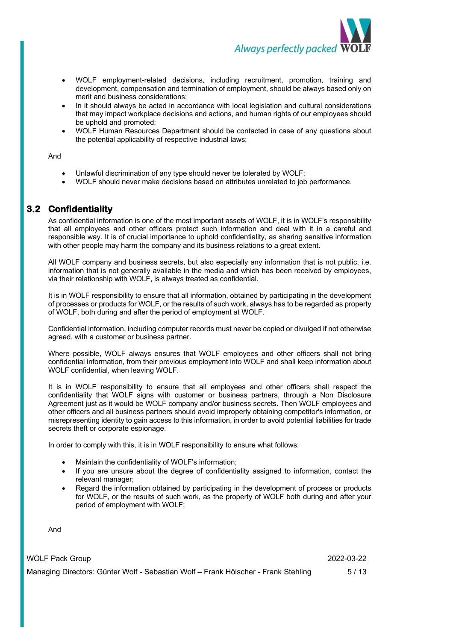

- WOLF employment-related decisions, including recruitment, promotion, training and development, compensation and termination of employment, should be always based only on merit and business considerations;
- In it should always be acted in accordance with local legislation and cultural considerations that may impact workplace decisions and actions, and human rights of our employees should be uphold and promoted;
- WOLF Human Resources Department should be contacted in case of any questions about the potential applicability of respective industrial laws;

And

- Unlawful discrimination of any type should never be tolerated by WOLF;
- WOLF should never make decisions based on attributes unrelated to job performance.

#### **3.2 Confidentiality**

As confidential information is one of the most important assets of WOLF, it is in WOLF's responsibility that all employees and other officers protect such information and deal with it in a careful and responsible way. It is of crucial importance to uphold confidentiality, as sharing sensitive information with other people may harm the company and its business relations to a great extent.

All WOLF company and business secrets, but also especially any information that is not public, i.e. information that is not generally available in the media and which has been received by employees, via their relationship with WOLF, is always treated as confidential.

It is in WOLF responsibility to ensure that all information, obtained by participating in the development of processes or products for WOLF, or the results of such work, always has to be regarded as property of WOLF, both during and after the period of employment at WOLF.

Confidential information, including computer records must never be copied or divulged if not otherwise agreed, with a customer or business partner.

Where possible, WOLF always ensures that WOLF employees and other officers shall not bring confidential information, from their previous employment into WOLF and shall keep information about WOLF confidential, when leaving WOLF.

It is in WOLF responsibility to ensure that all employees and other officers shall respect the confidentiality that WOLF signs with customer or business partners, through a Non Disclosure Agreement just as it would be WOLF company and/or business secrets. Then WOLF employees and other officers and all business partners should avoid improperly obtaining competitor's information, or misrepresenting identity to gain access to this information, in order to avoid potential liabilities for trade secrets theft or corporate espionage.

In order to comply with this, it is in WOLF responsibility to ensure what follows:

- Maintain the confidentiality of WOLF's information;
- If you are unsure about the degree of confidentiality assigned to information, contact the relevant manager;
- Regard the information obtained by participating in the development of process or products for WOLF, or the results of such work, as the property of WOLF both during and after your period of employment with WOLF;

And

WOLF Pack Group 2022-03-22

Managing Directors: Günter Wolf - Sebastian Wolf – Frank Hölscher - Frank Stehling 5/13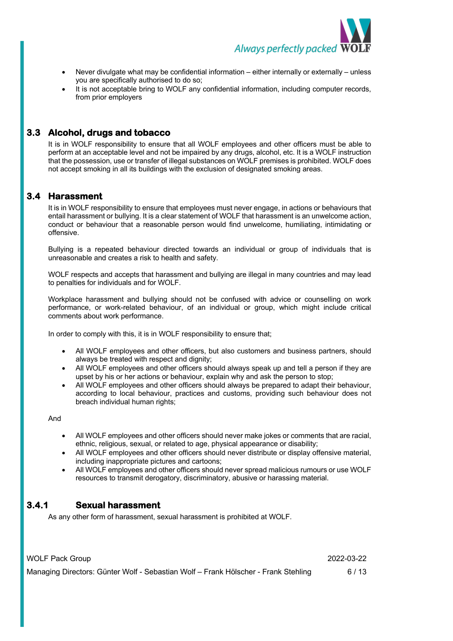

- Never divulgate what may be confidential information either internally or externally unless you are specifically authorised to do so;
- It is not acceptable bring to WOLF any confidential information, including computer records, from prior employers

#### **3.3 Alcohol, drugs and tobacco**

It is in WOLF responsibility to ensure that all WOLF employees and other officers must be able to perform at an acceptable level and not be impaired by any drugs, alcohol, etc. It is a WOLF instruction that the possession, use or transfer of illegal substances on WOLF premises is prohibited. WOLF does not accept smoking in all its buildings with the exclusion of designated smoking areas.

#### **3.4 Harassment**

It is in WOLF responsibility to ensure that employees must never engage, in actions or behaviours that entail harassment or bullying. It is a clear statement of WOLF that harassment is an unwelcome action, conduct or behaviour that a reasonable person would find unwelcome, humiliating, intimidating or offensive.

Bullying is a repeated behaviour directed towards an individual or group of individuals that is unreasonable and creates a risk to health and safety.

WOLF respects and accepts that harassment and bullying are illegal in many countries and may lead to penalties for individuals and for WOLF.

Workplace harassment and bullying should not be confused with advice or counselling on work performance, or work-related behaviour, of an individual or group, which might include critical comments about work performance.

In order to comply with this, it is in WOLF responsibility to ensure that;

- All WOLF employees and other officers, but also customers and business partners, should always be treated with respect and dignity;
- All WOLF employees and other officers should always speak up and tell a person if they are upset by his or her actions or behaviour, explain why and ask the person to stop;
- All WOLF employees and other officers should always be prepared to adapt their behaviour, according to local behaviour, practices and customs, providing such behaviour does not breach individual human rights;

And

- All WOLF employees and other officers should never make jokes or comments that are racial, ethnic, religious, sexual, or related to age, physical appearance or disability;
- All WOLF employees and other officers should never distribute or display offensive material, including inappropriate pictures and cartoons;
- All WOLF employees and other officers should never spread malicious rumours or use WOLF resources to transmit derogatory, discriminatory, abusive or harassing material.

#### **3.4.1 Sexual harassment**

As any other form of harassment, sexual harassment is prohibited at WOLF.

| <b>WOLF Pack Group</b>                                                             | 2022-03-22 |
|------------------------------------------------------------------------------------|------------|
| Managing Directors: Günter Wolf - Sebastian Wolf – Frank Hölscher - Frank Stehling | 6/13       |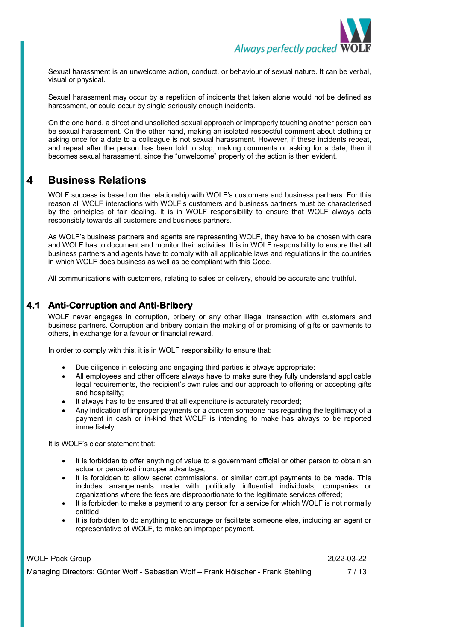

Sexual harassment is an unwelcome action, conduct, or behaviour of sexual nature. It can be verbal, visual or physical.

Sexual harassment may occur by a repetition of incidents that taken alone would not be defined as harassment, or could occur by single seriously enough incidents.

On the one hand, a direct and unsolicited sexual approach or improperly touching another person can be sexual harassment. On the other hand, making an isolated respectful comment about clothing or asking once for a date to a colleague is not sexual harassment. However, if these incidents repeat, and repeat after the person has been told to stop, making comments or asking for a date, then it becomes sexual harassment, since the "unwelcome" property of the action is then evident.

## **4 Business Relations**

WOLF success is based on the relationship with WOLF's customers and business partners. For this reason all WOLF interactions with WOLF's customers and business partners must be characterised by the principles of fair dealing. It is in WOLF responsibility to ensure that WOLF always acts responsibly towards all customers and business partners.

As WOLF's business partners and agents are representing WOLF, they have to be chosen with care and WOLF has to document and monitor their activities. It is in WOLF responsibility to ensure that all business partners and agents have to comply with all applicable laws and regulations in the countries in which WOLF does business as well as be compliant with this Code.

All communications with customers, relating to sales or delivery, should be accurate and truthful.

#### **4.1 Anti-Corruption and Anti-Bribery**

WOLF never engages in corruption, bribery or any other illegal transaction with customers and business partners. Corruption and bribery contain the making of or promising of gifts or payments to others, in exchange for a favour or financial reward.

In order to comply with this, it is in WOLF responsibility to ensure that:

- Due diligence in selecting and engaging third parties is always appropriate;
- All employees and other officers always have to make sure they fully understand applicable legal requirements, the recipient's own rules and our approach to offering or accepting gifts and hospitality;
- It always has to be ensured that all expenditure is accurately recorded;
- Any indication of improper payments or a concern someone has regarding the legitimacy of a payment in cash or in-kind that WOLF is intending to make has always to be reported immediately.

It is WOLF's clear statement that:

- It is forbidden to offer anything of value to a government official or other person to obtain an actual or perceived improper advantage;
- It is forbidden to allow secret commissions, or similar corrupt payments to be made. This includes arrangements made with politically influential individuals, companies or organizations where the fees are disproportionate to the legitimate services offered;
- It is forbidden to make a payment to any person for a service for which WOLF is not normally entitled;
- It is forbidden to do anything to encourage or facilitate someone else, including an agent or representative of WOLF, to make an improper payment.

WOLF Pack Group 2022-03-22

Managing Directors: Günter Wolf - Sebastian Wolf – Frank Hölscher - Frank Stehling 7 / 13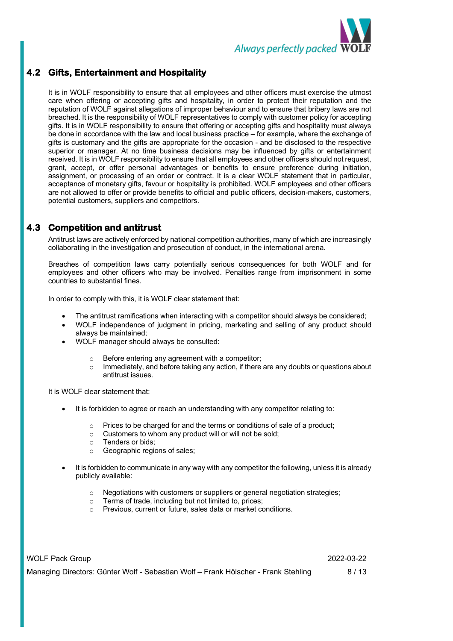

#### **4.2 Gifts, Entertainment and Hospitality**

It is in WOLF responsibility to ensure that all employees and other officers must exercise the utmost care when offering or accepting gifts and hospitality, in order to protect their reputation and the reputation of WOLF against allegations of improper behaviour and to ensure that bribery laws are not breached. It is the responsibility of WOLF representatives to comply with customer policy for accepting gifts. It is in WOLF responsibility to ensure that offering or accepting gifts and hospitality must always be done in accordance with the law and local business practice – for example, where the exchange of gifts is customary and the gifts are appropriate for the occasion - and be disclosed to the respective superior or manager. At no time business decisions may be influenced by gifts or entertainment received. It is in WOLF responsibility to ensure that all employees and other officers should not request, grant, accept, or offer personal advantages or benefits to ensure preference during initiation, assignment, or processing of an order or contract. It is a clear WOLF statement that in particular, acceptance of monetary gifts, favour or hospitality is prohibited. WOLF employees and other officers are not allowed to offer or provide benefits to official and public officers, decision-makers, customers, potential customers, suppliers and competitors.

#### **4.3 Competition and antitrust**

Antitrust laws are actively enforced by national competition authorities, many of which are increasingly collaborating in the investigation and prosecution of conduct, in the international arena.

Breaches of competition laws carry potentially serious consequences for both WOLF and for employees and other officers who may be involved. Penalties range from imprisonment in some countries to substantial fines.

In order to comply with this, it is WOLF clear statement that:

- The antitrust ramifications when interacting with a competitor should always be considered;
- WOLF independence of judgment in pricing, marketing and selling of any product should always be maintained;
- WOLF manager should always be consulted:
	- o Before entering any agreement with a competitor;
	- $\circ$  Immediately, and before taking any action, if there are any doubts or questions about antitrust issues.

It is WOLF clear statement that:

- It is forbidden to agree or reach an understanding with any competitor relating to:
	- o Prices to be charged for and the terms or conditions of sale of a product;
	- o Customers to whom any product will or will not be sold;
	- o Tenders or bids;
	- o Geographic regions of sales;
- It is forbidden to communicate in any way with any competitor the following, unless it is already publicly available:
	- o Negotiations with customers or suppliers or general negotiation strategies;
	- o Terms of trade, including but not limited to, prices;
	- o Previous, current or future, sales data or market conditions.

| <b>WOLF Pack Group</b>                                                             | 2022-03-22 |
|------------------------------------------------------------------------------------|------------|
| Managing Directors: Günter Wolf - Sebastian Wolf - Frank Hölscher - Frank Stehling | 8/13       |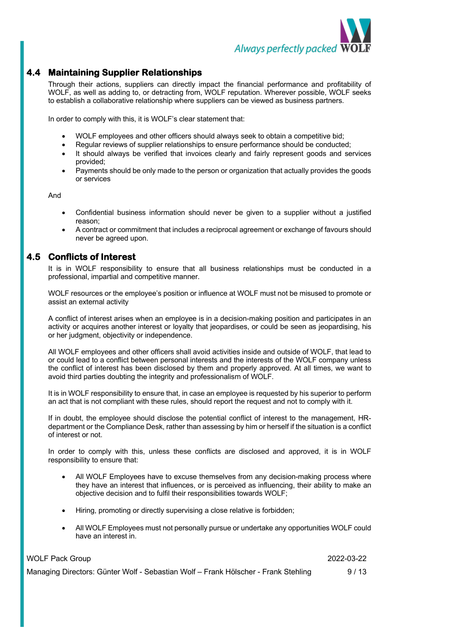

#### **4.4 Maintaining Supplier Relationships**

Through their actions, suppliers can directly impact the financial performance and profitability of WOLF, as well as adding to, or detracting from, WOLF reputation. Wherever possible, WOLF seeks to establish a collaborative relationship where suppliers can be viewed as business partners.

In order to comply with this, it is WOLF's clear statement that:

- WOLF employees and other officers should always seek to obtain a competitive bid;
- Regular reviews of supplier relationships to ensure performance should be conducted;
- It should always be verified that invoices clearly and fairly represent goods and services provided;
- Payments should be only made to the person or organization that actually provides the goods or services

And

- Confidential business information should never be given to a supplier without a justified reason;
- A contract or commitment that includes a reciprocal agreement or exchange of favours should never be agreed upon.

#### **4.5 Conflicts of Interest**

It is in WOLF responsibility to ensure that all business relationships must be conducted in a professional, impartial and competitive manner.

WOLF resources or the employee's position or influence at WOLF must not be misused to promote or assist an external activity

A conflict of interest arises when an employee is in a decision-making position and participates in an activity or acquires another interest or loyalty that jeopardises, or could be seen as jeopardising, his or her judgment, objectivity or independence.

All WOLF employees and other officers shall avoid activities inside and outside of WOLF, that lead to or could lead to a conflict between personal interests and the interests of the WOLF company unless the conflict of interest has been disclosed by them and properly approved. At all times, we want to avoid third parties doubting the integrity and professionalism of WOLF.

It is in WOLF responsibility to ensure that, in case an employee is requested by his superior to perform an act that is not compliant with these rules, should report the request and not to comply with it.

If in doubt, the employee should disclose the potential conflict of interest to the management, HRdepartment or the Compliance Desk, rather than assessing by him or herself if the situation is a conflict of interest or not.

In order to comply with this, unless these conflicts are disclosed and approved, it is in WOLF responsibility to ensure that:

- All WOLF Employees have to excuse themselves from any decision-making process where they have an interest that influences, or is perceived as influencing, their ability to make an objective decision and to fulfil their responsibilities towards WOLF;
- Hiring, promoting or directly supervising a close relative is forbidden;
- All WOLF Employees must not personally pursue or undertake any opportunities WOLF could have an interest in.

| <b>WOLF Pack Group</b>                                                             | 2022-03-22 |
|------------------------------------------------------------------------------------|------------|
| Managing Directors: Günter Wolf - Sebastian Wolf - Frank Hölscher - Frank Stehling | 9/13       |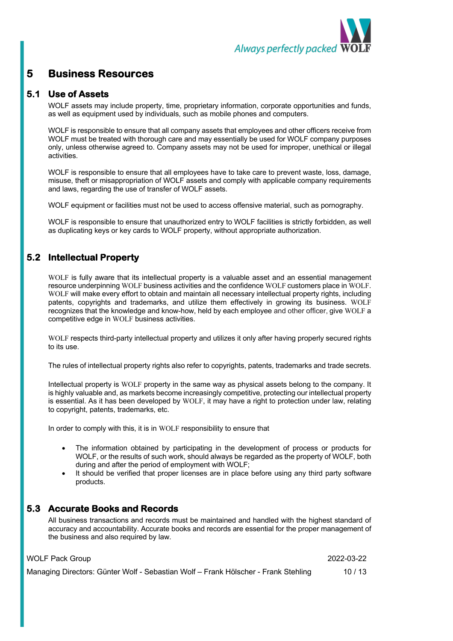

## **5 Business Resources**

#### **5.1 Use of Assets**

WOLF assets may include property, time, proprietary information, corporate opportunities and funds, as well as equipment used by individuals, such as mobile phones and computers.

WOLF is responsible to ensure that all company assets that employees and other officers receive from WOLF must be treated with thorough care and may essentially be used for WOLF company purposes only, unless otherwise agreed to. Company assets may not be used for improper, unethical or illegal activities.

WOLF is responsible to ensure that all employees have to take care to prevent waste, loss, damage, misuse, theft or misappropriation of WOLF assets and comply with applicable company requirements and laws, regarding the use of transfer of WOLF assets.

WOLF equipment or facilities must not be used to access offensive material, such as pornography.

WOLF is responsible to ensure that unauthorized entry to WOLF facilities is strictly forbidden, as well as duplicating keys or key cards to WOLF property, without appropriate authorization.

#### **5.2 Intellectual Property**

WOLF is fully aware that its intellectual property is a valuable asset and an essential management resource underpinning WOLF business activities and the confidence WOLF customers place in WOLF. WOLF will make every effort to obtain and maintain all necessary intellectual property rights, including patents, copyrights and trademarks, and utilize them effectively in growing its business. WOLF recognizes that the knowledge and know-how, held by each employee and other officer, give WOLF a competitive edge in WOLF business activities.

WOLF respects third-party intellectual property and utilizes it only after having properly secured rights to its use.

The rules of intellectual property rights also refer to copyrights, patents, trademarks and trade secrets.

Intellectual property is WOLF property in the same way as physical assets belong to the company. It is highly valuable and, as markets become increasingly competitive, protecting our intellectual property is essential. As it has been developed by WOLF, it may have a right to protection under law, relating to copyright, patents, trademarks, etc.

In order to comply with this, it is in WOLF responsibility to ensure that

- The information obtained by participating in the development of process or products for WOLF, or the results of such work, should always be regarded as the property of WOLF, both during and after the period of employment with WOLF;
- It should be verified that proper licenses are in place before using any third party software products.

#### **5.3 Accurate Books and Records**

All business transactions and records must be maintained and handled with the highest standard of accuracy and accountability. Accurate books and records are essential for the proper management of the business and also required by law.

WOLF Pack Group 2022-03-22

Managing Directors: Günter Wolf - Sebastian Wolf – Frank Hölscher - Frank Stehling 10 / 13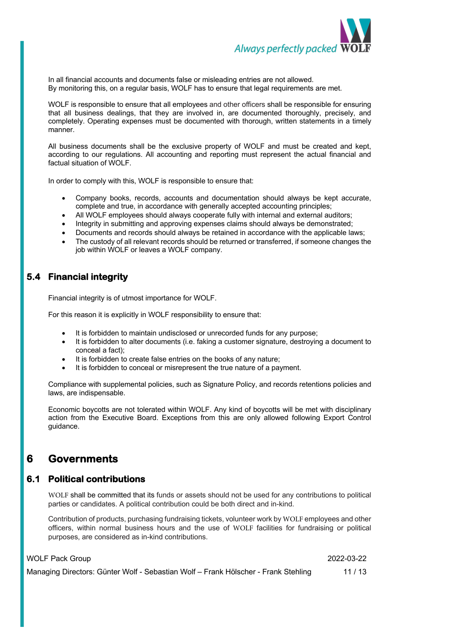

In all financial accounts and documents false or misleading entries are not allowed. By monitoring this, on a regular basis, WOLF has to ensure that legal requirements are met.

WOLF is responsible to ensure that all employees and other officers shall be responsible for ensuring that all business dealings, that they are involved in, are documented thoroughly, precisely, and completely. Operating expenses must be documented with thorough, written statements in a timely manner.

All business documents shall be the exclusive property of WOLF and must be created and kept, according to our regulations. All accounting and reporting must represent the actual financial and factual situation of WOLF.

In order to comply with this, WOLF is responsible to ensure that:

- Company books, records, accounts and documentation should always be kept accurate, complete and true, in accordance with generally accepted accounting principles;
- All WOLF employees should always cooperate fully with internal and external auditors;
- Integrity in submitting and approving expenses claims should always be demonstrated;
- Documents and records should always be retained in accordance with the applicable laws;
- The custody of all relevant records should be returned or transferred, if someone changes the job within WOLF or leaves a WOLF company.

#### **5.4 Financial integrity**

Financial integrity is of utmost importance for WOLF.

For this reason it is explicitly in WOLF responsibility to ensure that:

- It is forbidden to maintain undisclosed or unrecorded funds for any purpose;
- It is forbidden to alter documents (i.e. faking a customer signature, destroying a document to conceal a fact);
- It is forbidden to create false entries on the books of any nature:
- It is forbidden to conceal or misrepresent the true nature of a payment.

Compliance with supplemental policies, such as Signature Policy, and records retentions policies and laws, are indispensable.

Economic boycotts are not tolerated within WOLF. Any kind of boycotts will be met with disciplinary action from the Executive Board. Exceptions from this are only allowed following Export Control guidance.

#### **6 Governments**

#### **6.1 Political contributions**

WOLF shall be committed that its funds or assets should not be used for any contributions to political parties or candidates. A political contribution could be both direct and in-kind.

Contribution of products, purchasing fundraising tickets, volunteer work by WOLF employees and other officers, within normal business hours and the use of WOLF facilities for fundraising or political purposes, are considered as in-kind contributions.

WOLF Pack Group 2022-03-22

Managing Directors: Günter Wolf - Sebastian Wolf – Frank Hölscher - Frank Stehling 11 / 13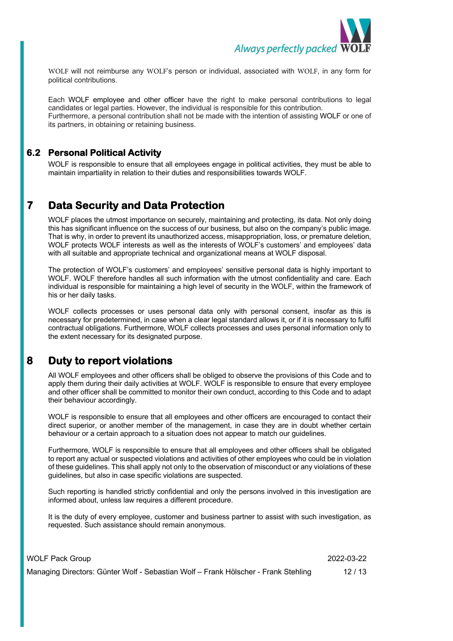

WOLF will not reimburse any WOLF's person or individual, associated with WOLF, in any form for political contributions.

Each WOLF employee and other officer have the right to make personal contributions to legal candidates or legal parties. However, the individual is responsible for this contribution. Furthermore, a personal contribution shall not be made with the intention of assisting WOLF or one of its partners, in obtaining or retaining business.

#### **6.2 Personal Political Activity**

WOLF is responsible to ensure that all employees engage in political activities, they must be able to maintain impartiality in relation to their duties and responsibilities towards WOLF.

## **7 Data Security and Data Protection**

WOLF places the utmost importance on securely, maintaining and protecting, its data. Not only doing this has significant influence on the success of our business, but also on the company's public image. That is why, in order to prevent its unauthorized access, misappropriation, loss, or premature deletion, WOLF protects WOLF interests as well as the interests of WOLF's customers' and employees' data with all suitable and appropriate technical and organizational means at WOLF disposal.

The protection of WOLF's customers' and employees' sensitive personal data is highly important to WOLF. WOLF therefore handles all such information with the utmost confidentiality and care. Each individual is responsible for maintaining a high level of security in the WOLF, within the framework of his or her daily tasks.

WOLF collects processes or uses personal data only with personal consent, insofar as this is necessary for predetermined, in case when a clear legal standard allows it, or if it is necessary to fulfil contractual obligations. Furthermore, WOLF collects processes and uses personal information only to the extent necessary for its designated purpose.

## **8 Duty to report violations**

All WOLF employees and other officers shall be obliged to observe the provisions of this Code and to apply them during their daily activities at WOLF. WOLF is responsible to ensure that every employee and other officer shall be committed to monitor their own conduct, according to this Code and to adapt their behaviour accordingly.

WOLF is responsible to ensure that all employees and other officers are encouraged to contact their direct superior, or another member of the management, in case they are in doubt whether certain behaviour or a certain approach to a situation does not appear to match our guidelines.

Furthermore, WOLF is responsible to ensure that all employees and other officers shall be obligated to report any actual or suspected violations and activities of other employees who could be in violation of these guidelines. This shall apply not only to the observation of misconduct or any violations of these guidelines, but also in case specific violations are suspected.

Such reporting is handled strictly confidential and only the persons involved in this investigation are informed about, unless law requires a different procedure.

It is the duty of every employee, customer and business partner to assist with such investigation, as requested. Such assistance should remain anonymous.

| <b>WOLF Pack Group</b>                                                             | 2022-03-22 |
|------------------------------------------------------------------------------------|------------|
| Managing Directors: Günter Wolf - Sebastian Wolf - Frank Hölscher - Frank Stehling | 12/13      |